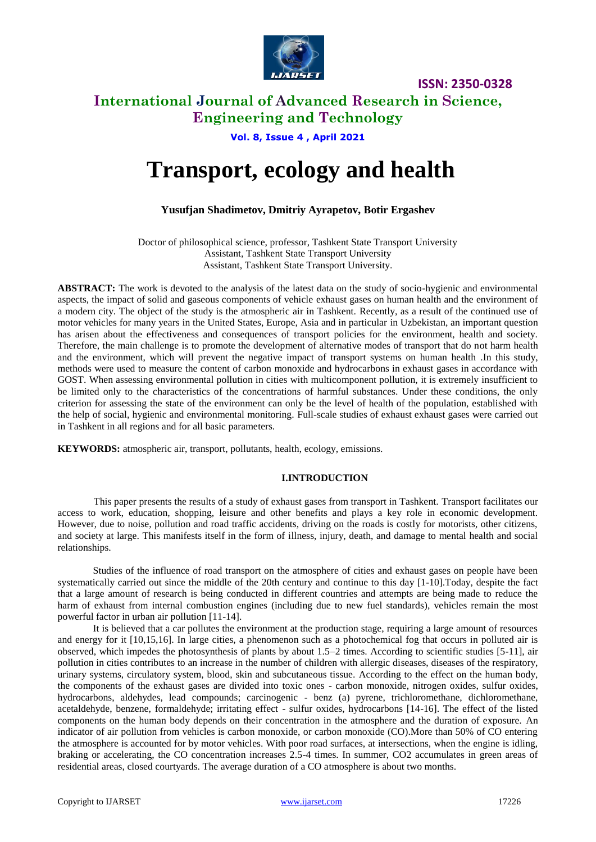

# **International Journal of Advanced Research in Science, Engineering and Technology**

**Vol. 8, Issue 4 , April 2021**

# **Transport, ecology and health**

## **Yusufjan Shadimetov, Dmitriy Ayrapetov, Воtir Ergashev**

Doctor of philosophical science, professor, Tashkent State Transport University Assistant, Tashkent State Transport University Assistant, Tashkent State Transport University.

**ABSTRACT:** The work is devoted to the analysis of the latest data on the study of socio-hygienic and environmental aspects, the impact of solid and gaseous components of vehicle exhaust gases on human health and the environment of a modern city. The object of the study is the atmospheric air in Tashkent. Recently, as a result of the continued use of motor vehicles for many years in the United States, Europe, Asia and in particular in Uzbekistan, an important question has arisen about the effectiveness and consequences of transport policies for the environment, health and society. Therefore, the main challenge is to promote the development of alternative modes of transport that do not harm health and the environment, which will prevent the negative impact of transport systems on human health .In this study, methods were used to measure the content of carbon monoxide and hydrocarbons in exhaust gases in accordance with GOST. When assessing environmental pollution in cities with multicomponent pollution, it is extremely insufficient to be limited only to the characteristics of the concentrations of harmful substances. Under these conditions, the only criterion for assessing the state of the environment can only be the level of health of the population, established with the help of social, hygienic and environmental monitoring. Full-scale studies of exhaust exhaust gases were carried out in Tashkent in all regions and for all basic parameters.

**KEYWORDS:** atmospheric air, transport, pollutants, health, ecology, emissions.

## **I.INTRODUCTION**

This paper presents the results of a study of exhaust gases from transport in Tashkent. Transport facilitates our access to work, education, shopping, leisure and other benefits and plays a key role in economic development. However, due to noise, pollution and road traffic accidents, driving on the roads is costly for motorists, other citizens, and society at large. This manifests itself in the form of illness, injury, death, and damage to mental health and social relationships.

Studies of the influence of road transport on the atmosphere of cities and exhaust gases on people have been systematically carried out since the middle of the 20th century and continue to this day [1-10].Today, despite the fact that a large amount of research is being conducted in different countries and attempts are being made to reduce the harm of exhaust from internal combustion engines (including due to new fuel standards), vehicles remain the most powerful factor in urban air pollution [11-14].

It is believed that a car pollutes the environment at the production stage, requiring a large amount of resources and energy for it [10,15,16]. In large cities, a phenomenon such as a photochemical fog that occurs in polluted air is observed, which impedes the photosynthesis of plants by about 1.5–2 times. According to scientific studies [5-11], air pollution in cities contributes to an increase in the number of children with allergic diseases, diseases of the respiratory, urinary systems, circulatory system, blood, skin and subcutaneous tissue. According to the effect on the human body, the components of the exhaust gases are divided into toxic ones - carbon monoxide, nitrogen oxides, sulfur oxides, hydrocarbons, aldehydes, lead compounds; carcinogenic - benz (a) pyrene, trichloromethane, dichloromethane, acetaldehyde, benzene, formaldehyde; irritating effect - sulfur oxides, hydrocarbons [14-16]. The effect of the listed components on the human body depends on their concentration in the atmosphere and the duration of exposure. An indicator of air pollution from vehicles is carbon monoxide, or carbon monoxide (CO).More than 50% of CO entering the atmosphere is accounted for by motor vehicles. With poor road surfaces, at intersections, when the engine is idling, braking or accelerating, the CO concentration increases 2.5-4 times. In summer, CO2 accumulates in green areas of residential areas, closed courtyards. The average duration of a CO atmosphere is about two months.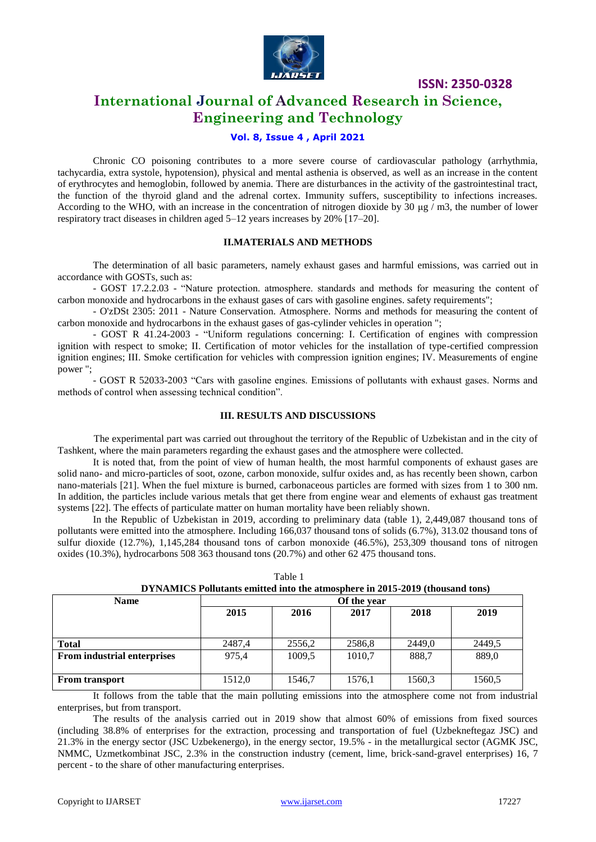

# **International Journal of Advanced Research in Science, Engineering and Technology**

## **Vol. 8, Issue 4 , April 2021**

Chronic CO poisoning contributes to a more severe course of cardiovascular pathology (arrhythmia, tachycardia, extra systole, hypotension), physical and mental asthenia is observed, as well as an increase in the content of erythrocytes and hemoglobin, followed by anemia. There are disturbances in the activity of the gastrointestinal tract, the function of the thyroid gland and the adrenal cortex. Immunity suffers, susceptibility to infections increases. According to the WHO, with an increase in the concentration of nitrogen dioxide by 30  $\mu$ g / m3, the number of lower respiratory tract diseases in children aged 5–12 years increases by 20% [17–20].

#### **II.MATERIALS AND METHODS**

The determination of all basic parameters, namely exhaust gases and harmful emissions, was carried out in accordance with GOSTs, such as:

- GOST 17.2.2.03 - "Nature protection. atmosphere. standards and methods for measuring the content of carbon monoxide and hydrocarbons in the exhaust gases of cars with gasoline engines. safety requirements";

- O'zDSt 2305: 2011 - Nature Conservation. Atmosphere. Norms and methods for measuring the content of carbon monoxide and hydrocarbons in the exhaust gases of gas-cylinder vehicles in operation ";

- GOST R 41.24-2003 - "Uniform regulations concerning: I. Certification of engines with compression ignition with respect to smoke; II. Certification of motor vehicles for the installation of type-certified compression ignition engines; III. Smoke certification for vehicles with compression ignition engines; IV. Measurements of engine power ";

- GOST R 52033-2003 "Cars with gasoline engines. Emissions of pollutants with exhaust gases. Norms and methods of control when assessing technical condition".

#### **III. RESULTS AND DISCUSSIONS**

The experimental part was carried out throughout the territory of the Republic of Uzbekistan and in the city of Tashkent, where the main parameters regarding the exhaust gases and the atmosphere were collected.

It is noted that, from the point of view of human health, the most harmful components of exhaust gases are solid nano- and micro-particles of soot, ozone, carbon monoxide, sulfur oxides and, as has recently been shown, carbon nano-materials [21]. When the fuel mixture is burned, carbonaceous particles are formed with sizes from 1 to 300 nm. In addition, the particles include various metals that get there from engine wear and elements of exhaust gas treatment systems [22]. The effects of particulate matter on human mortality have been reliably shown.

In the Republic of Uzbekistan in 2019, according to preliminary data (table 1), 2,449,087 thousand tons of pollutants were emitted into the atmosphere. Including 166,037 thousand tons of solids (6.7%), 313.02 thousand tons of sulfur dioxide (12.7%), 1,145,284 thousand tons of carbon monoxide (46.5%), 253,309 thousand tons of nitrogen oxides (10.3%), hydrocarbons 508 363 thousand tons (20.7%) and other 62 475 thousand tons.

| <b>Name</b>                        | Of the year |        |        |        |        |  |
|------------------------------------|-------------|--------|--------|--------|--------|--|
|                                    | 2015        | 2016   | 2017   | 2018   | 2019   |  |
|                                    |             |        |        |        |        |  |
|                                    |             |        |        |        |        |  |
| <b>Total</b>                       | 2487.4      | 2556,2 | 2586,8 | 2449.0 | 2449.5 |  |
| <b>From industrial enterprises</b> | 975,4       | 1009.5 | 1010,7 | 888.7  | 889,0  |  |
|                                    |             |        |        |        |        |  |
| <b>From transport</b>              | 1512,0      | 1546,7 | 1576,1 | 1560,3 | 1560,5 |  |

 $T$ able 1

| тапе т                                                                       |  |
|------------------------------------------------------------------------------|--|
| DYNAMICS Pollutants emitted into the atmosphere in 2015-2019 (thousand tons) |  |

It follows from the table that the main polluting emissions into the atmosphere come not from industrial enterprises, but from transport.

The results of the analysis carried out in 2019 show that almost 60% of emissions from fixed sources (including 38.8% of enterprises for the extraction, processing and transportation of fuel (Uzbekneftegaz JSC) and 21.3% in the energy sector (JSC Uzbekenergo), in the energy sector, 19.5% - in the metallurgical sector (AGMK JSC, NMMC, Uzmetkombinat JSC, 2.3% in the construction industry (cement, lime, brick-sand-gravel enterprises) 16, 7 percent - to the share of other manufacturing enterprises.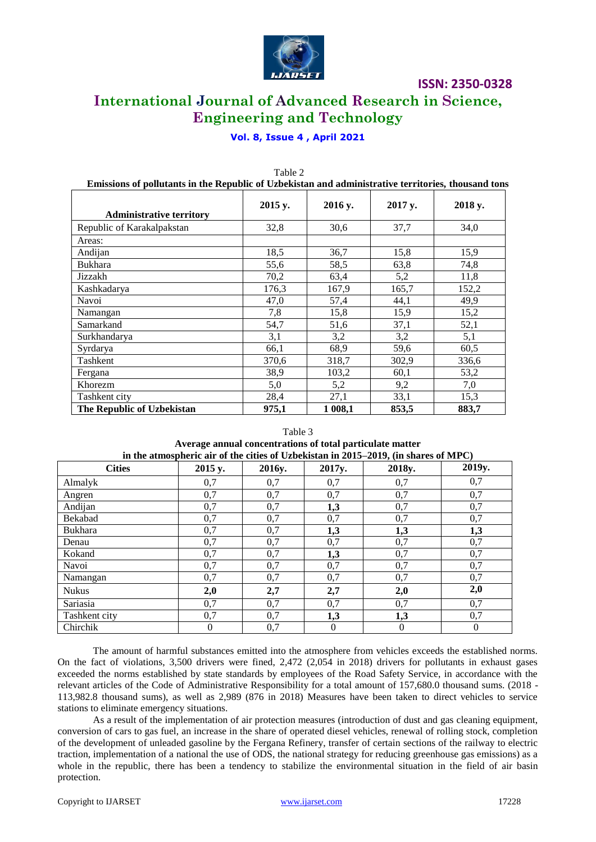

# **International Journal of Advanced Research in Science, Engineering and Technology**

## **Vol. 8, Issue 4 , April 2021**

| Emissions of pollutants in the Republic of Uzbekistan and administrative territories, thousand ton |         |         |         |         |  |
|----------------------------------------------------------------------------------------------------|---------|---------|---------|---------|--|
| <b>Administrative territory</b>                                                                    | 2015 y. | 2016 y. | 2017 y. | 2018 y. |  |
| Republic of Karakalpakstan                                                                         | 32,8    | 30,6    | 37,7    | 34,0    |  |
| Areas:                                                                                             |         |         |         |         |  |
| Andijan                                                                                            | 18,5    | 36,7    | 15,8    | 15,9    |  |
| <b>Bukhara</b>                                                                                     | 55,6    | 58,5    | 63,8    | 74,8    |  |
| Jizzakh                                                                                            | 70,2    | 63,4    | 5,2     | 11,8    |  |
| Kashkadarya                                                                                        | 176,3   | 167,9   | 165,7   | 152,2   |  |
| Navoi                                                                                              | 47,0    | 57,4    | 44,1    | 49,9    |  |
| Namangan                                                                                           | 7,8     | 15,8    | 15,9    | 15,2    |  |
| Samarkand                                                                                          | 54,7    | 51,6    | 37,1    | 52,1    |  |
| Surkhandarya                                                                                       | 3,1     | 3,2     | 3,2     | 5,1     |  |
| Syrdarya                                                                                           | 66,1    | 68,9    | 59,6    | 60,5    |  |
| Tashkent                                                                                           | 370,6   | 318,7   | 302,9   | 336,6   |  |
| Fergana                                                                                            | 38,9    | 103,2   | 60,1    | 53,2    |  |
| Khorezm                                                                                            | 5,0     | 5,2     | 9,2     | 7,0     |  |
| Tashkent city                                                                                      | 28,4    | 27,1    | 33,1    | 15,3    |  |
| The Republic of Uzbekistan                                                                         | 975,1   | 1 008,1 | 853,5   | 883,7   |  |

#### Table 2 **Emissions of pollutants in the Republic of Uzbekistan and administrative territories, thousand tons**

## Table 3 **Average annual concentrations of total particulate matter**

| in the atmospheric air of the cities of Uzbekistan in 2015–2019, (in shares of MPC) |         |        |        |          |        |
|-------------------------------------------------------------------------------------|---------|--------|--------|----------|--------|
| <b>Cities</b>                                                                       | 2015 y. | 2016y. | 2017y. | 2018y.   | 2019y. |
| Almalyk                                                                             | 0,7     | 0,7    | 0,7    | 0,7      | 0,7    |
| Angren                                                                              | 0,7     | 0,7    | 0,7    | 0,7      | 0,7    |
| Andijan                                                                             | 0,7     | 0,7    | 1,3    | 0,7      | 0,7    |
| Bekabad                                                                             | 0,7     | 0,7    | 0,7    | 0,7      | 0,7    |
| <b>Bukhara</b>                                                                      | 0,7     | 0,7    | 1,3    | 1,3      | 1,3    |
| Denau                                                                               | 0,7     | 0,7    | 0,7    | 0,7      | 0,7    |
| Kokand                                                                              | 0,7     | 0,7    | 1,3    | 0,7      | 0,7    |
| Navoi                                                                               | 0,7     | 0,7    | 0,7    | 0,7      | 0,7    |
| Namangan                                                                            | 0,7     | 0,7    | 0,7    | 0,7      | 0,7    |
| <b>Nukus</b>                                                                        | 2,0     | 2,7    | 2,7    | 2,0      | 2,0    |
| Sariasia                                                                            | 0,7     | 0,7    | 0,7    | 0,7      | 0,7    |
| Tashkent city                                                                       | 0,7     | 0,7    | 1,3    | 1,3      | 0,7    |
| Chirchik                                                                            | 0       | 0,7    | 0      | $\theta$ |        |

The amount of harmful substances emitted into the atmosphere from vehicles exceeds the established norms. On the fact of violations, 3,500 drivers were fined, 2,472 (2,054 in 2018) drivers for pollutants in exhaust gases exceeded the norms established by state standards by employees of the Road Safety Service, in accordance with the relevant articles of the Code of Administrative Responsibility for a total amount of 157,680.0 thousand sums. (2018 - 113,982.8 thousand sums), as well as 2,989 (876 in 2018) Measures have been taken to direct vehicles to service stations to eliminate emergency situations.

As a result of the implementation of air protection measures (introduction of dust and gas cleaning equipment, conversion of cars to gas fuel, an increase in the share of operated diesel vehicles, renewal of rolling stock, completion of the development of unleaded gasoline by the Fergana Refinery, transfer of certain sections of the railway to electric traction, implementation of a national the use of ODS, the national strategy for reducing greenhouse gas emissions) as a whole in the republic, there has been a tendency to stabilize the environmental situation in the field of air basin protection.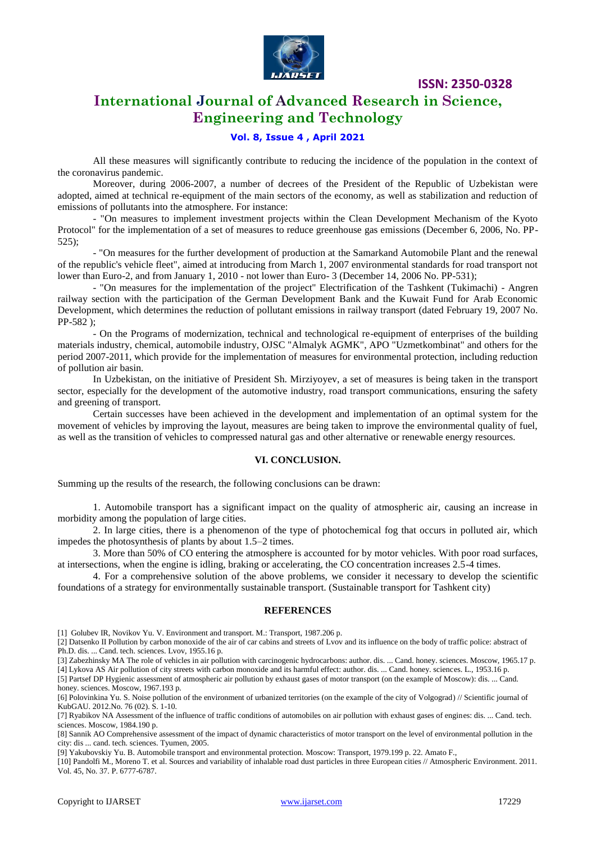

# **International Journal of Advanced Research in Science, Engineering and Technology**

### **Vol. 8, Issue 4 , April 2021**

All these measures will significantly contribute to reducing the incidence of the population in the context of the coronavirus pandemic.

Moreover, during 2006-2007, a number of decrees of the President of the Republic of Uzbekistan were adopted, aimed at technical re-equipment of the main sectors of the economy, as well as stabilization and reduction of emissions of pollutants into the atmosphere. For instance:

- "On measures to implement investment projects within the Clean Development Mechanism of the Kyoto Protocol" for the implementation of a set of measures to reduce greenhouse gas emissions (December 6, 2006, No. PP-525);

- "On measures for the further development of production at the Samarkand Automobile Plant and the renewal of the republic's vehicle fleet", aimed at introducing from March 1, 2007 environmental standards for road transport not lower than Euro-2, and from January 1, 2010 - not lower than Euro- 3 (December 14, 2006 No. PP-531);

- "On measures for the implementation of the project" Electrification of the Tashkent (Tukimachi) - Angren railway section with the participation of the German Development Bank and the Kuwait Fund for Arab Economic Development, which determines the reduction of pollutant emissions in railway transport (dated February 19, 2007 No. PP-582 );

- On the Programs of modernization, technical and technological re-equipment of enterprises of the building materials industry, chemical, automobile industry, OJSC "Almalyk AGMK", APO "Uzmetkombinat" and others for the period 2007-2011, which provide for the implementation of measures for environmental protection, including reduction of pollution air basin.

In Uzbekistan, on the initiative of President Sh. Mirziyoyev, a set of measures is being taken in the transport sector, especially for the development of the automotive industry, road transport communications, ensuring the safety and greening of transport.

Certain successes have been achieved in the development and implementation of an optimal system for the movement of vehicles by improving the layout, measures are being taken to improve the environmental quality of fuel, as well as the transition of vehicles to compressed natural gas and other alternative or renewable energy resources.

#### **VI. CONCLUSION.**

Summing up the results of the research, the following conclusions can be drawn:

1. Automobile transport has a significant impact on the quality of atmospheric air, causing an increase in morbidity among the population of large cities.

2. In large cities, there is a phenomenon of the type of photochemical fog that occurs in polluted air, which impedes the photosynthesis of plants by about 1.5–2 times.

3. More than 50% of CO entering the atmosphere is accounted for by motor vehicles. With poor road surfaces, at intersections, when the engine is idling, braking or accelerating, the CO concentration increases 2.5-4 times.

4. For a comprehensive solution of the above problems, we consider it necessary to develop the scientific foundations of a strategy for environmentally sustainable transport. (Sustainable transport for Tashkent city)

#### **REFERENCES**

[1] Golubev IR, Novikov Yu. V. Environment and transport. M.: Transport, 1987.206 p.

[2] Datsenko II Pollution by carbon monoxide of the air of car cabins and streets of Lvov and its influence on the body of traffic police: abstract of Ph.D. dis. ... Cand. tech. sciences. Lvov, 1955.16 p.

[3] Zabezhinsky MA The role of vehicles in air pollution with carcinogenic hydrocarbons: author. dis. ... Cand. honey. sciences. Moscow, 1965.17 p.

[4] Lykova AS Air pollution of city streets with carbon monoxide and its harmful effect: author. dis. ... Cand. honey. sciences. L., 1953.16 p. [5] Partsef DP Hygienic assessment of atmospheric air pollution by exhaust gases of motor transport (on the example of Moscow): dis. ... Cand. honey. sciences. Moscow, 1967.193 p.

[6] Polovinkina Yu. S. Noise pollution of the environment of urbanized territories (on the example of the city of Volgograd) // Scientific journal of KubGAU. 2012.No. 76 (02). S. 1-10.

[7] Ryabikov NA Assessment of the influence of traffic conditions of automobiles on air pollution with exhaust gases of engines: dis. ... Cand. tech. sciences. Moscow, 1984.190 p.

[8] Sannik AO Comprehensive assessment of the impact of dynamic characteristics of motor transport on the level of environmental pollution in the city: dis ... cand. tech. sciences. Tyumen, 2005.

[9] Yakubovskiy Yu. B. Automobile transport and environmental protection. Moscow: Transport, 1979.199 p. 22. Amato F.,

[10] Pandolfi M., Moreno T. et al. Sources and variability of inhalable road dust particles in three European cities // Atmospheric Environment. 2011. Vol. 45, No. 37. P. 6777-6787.